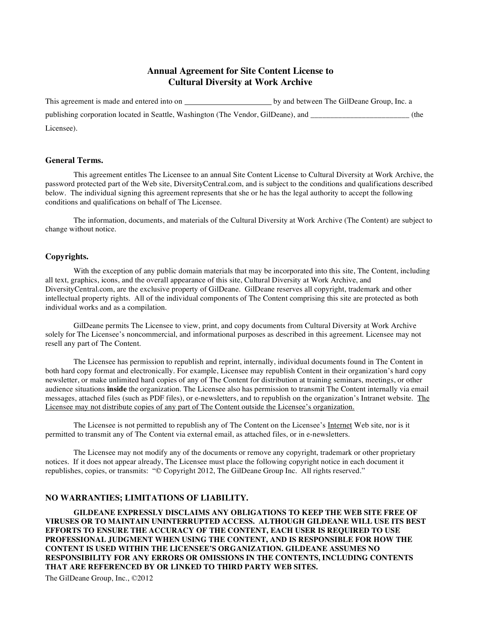# **Annual Agreement for Site Content License to Cultural Diversity at Work Archive**

| This agreement is made and entered into on                                        | by and between The GilDeane Group, Inc. a |      |
|-----------------------------------------------------------------------------------|-------------------------------------------|------|
| publishing corporation located in Seattle, Washington (The Vendor, GilDeane), and |                                           | (the |
| Licensee).                                                                        |                                           |      |

# **General Terms.**

This agreement entitles The Licensee to an annual Site Content License to Cultural Diversity at Work Archive, the password protected part of the Web site, DiversityCentral.com, and is subject to the conditions and qualifications described below. The individual signing this agreement represents that she or he has the legal authority to accept the following conditions and qualifications on behalf of The Licensee.

The information, documents, and materials of the Cultural Diversity at Work Archive (The Content) are subject to change without notice.

## **Copyrights.**

With the exception of any public domain materials that may be incorporated into this site, The Content, including all text, graphics, icons, and the overall appearance of this site, Cultural Diversity at Work Archive, and DiversityCentral.com, are the exclusive property of GilDeane. GilDeane reserves all copyright, trademark and other intellectual property rights. All of the individual components of The Content comprising this site are protected as both individual works and as a compilation.

GilDeane permits The Licensee to view, print, and copy documents from Cultural Diversity at Work Archive solely for The Licensee's noncommercial, and informational purposes as described in this agreement. Licensee may not resell any part of The Content.

The Licensee has permission to republish and reprint, internally, individual documents found in The Content in both hard copy format and electronically. For example, Licensee may republish Content in their organization's hard copy newsletter, or make unlimited hard copies of any of The Content for distribution at training seminars, meetings, or other audience situations **inside** the organization. The Licensee also has permission to transmit The Content internally via email messages, attached files (such as PDF files), or e-newsletters, and to republish on the organization's Intranet website. The Licensee may not distribute copies of any part of The Content outside the Licensee's organization.

The Licensee is not permitted to republish any of The Content on the Licensee's Internet Web site, nor is it permitted to transmit any of The Content via external email, as attached files, or in e-newsletters.

The Licensee may not modify any of the documents or remove any copyright, trademark or other proprietary notices. If it does not appear already, The Licensee must place the following copyright notice in each document it republishes, copies, or transmits: "© Copyright 2012, The GilDeane Group Inc. All rights reserved."

### **NO WARRANTIES; LIMITATIONS OF LIABILITY.**

**GILDEANE EXPRESSLY DISCLAIMS ANY OBLIGATIONS TO KEEP THE WEB SITE FREE OF VIRUSES OR TO MAINTAIN UNINTERRUPTED ACCESS. ALTHOUGH GILDEANE WILL USE ITS BEST EFFORTS TO ENSURE THE ACCURACY OF THE CONTENT, EACH USER IS REQUIRED TO USE PROFESSIONAL JUDGMENT WHEN USING THE CONTENT, AND IS RESPONSIBLE FOR HOW THE CONTENT IS USED WITHIN THE LICENSEE'S ORGANIZATION. GILDEANE ASSUMES NO RESPONSIBILITY FOR ANY ERRORS OR OMISSIONS IN THE CONTENTS, INCLUDING CONTENTS THAT ARE REFERENCED BY OR LINKED TO THIRD PARTY WEB SITES.**

The GilDeane Group, Inc., ©2012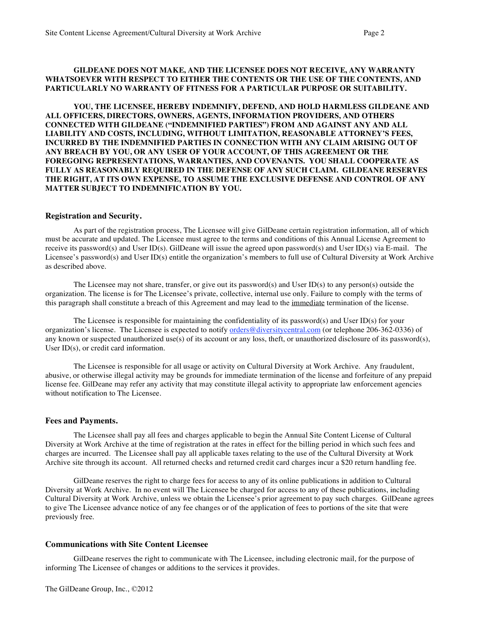### **GILDEANE DOES NOT MAKE, AND THE LICENSEE DOES NOT RECEIVE, ANY WARRANTY WHATSOEVER WITH RESPECT TO EITHER THE CONTENTS OR THE USE OF THE CONTENTS, AND PARTICULARLY NO WARRANTY OF FITNESS FOR A PARTICULAR PURPOSE OR SUITABILITY.**

**YOU, THE LICENSEE, HEREBY INDEMNIFY, DEFEND, AND HOLD HARMLESS GILDEANE AND ALL OFFICERS, DIRECTORS, OWNERS, AGENTS, INFORMATION PROVIDERS, AND OTHERS CONNECTED WITH GILDEANE ("INDEMNIFIED PARTIES") FROM AND AGAINST ANY AND ALL LIABILITY AND COSTS, INCLUDING, WITHOUT LIMITATION, REASONABLE ATTORNEY'S FEES, INCURRED BY THE INDEMNIFIED PARTIES IN CONNECTION WITH ANY CLAIM ARISING OUT OF ANY BREACH BY YOU, OR ANY USER OF YOUR ACCOUNT, OF THIS AGREEMENT OR THE FOREGOING REPRESENTATIONS, WARRANTIES, AND COVENANTS. YOU SHALL COOPERATE AS FULLY AS REASONABLY REQUIRED IN THE DEFENSE OF ANY SUCH CLAIM. GILDEANE RESERVES THE RIGHT, AT ITS OWN EXPENSE, TO ASSUME THE EXCLUSIVE DEFENSE AND CONTROL OF ANY MATTER SUBJECT TO INDEMNIFICATION BY YOU.**

### **Registration and Security.**

As part of the registration process, The Licensee will give GilDeane certain registration information, all of which must be accurate and updated. The Licensee must agree to the terms and conditions of this Annual License Agreement to receive its password(s) and User ID(s). GilDeane will issue the agreed upon password(s) and User ID(s) via E-mail. The Licensee's password(s) and User ID(s) entitle the organization's members to full use of Cultural Diversity at Work Archive as described above.

The Licensee may not share, transfer, or give out its password(s) and User ID(s) to any person(s) outside the organization. The license is for The Licensee's private, collective, internal use only. Failure to comply with the terms of this paragraph shall constitute a breach of this Agreement and may lead to the immediate termination of the license.

The Licensee is responsible for maintaining the confidentiality of its password(s) and User ID(s) for your organization's license. The Licensee is expected to notify orders@diversitycentral.com (or telephone 206-362-0336) of any known or suspected unauthorized use(s) of its account or any loss, theft, or unauthorized disclosure of its password(s), User ID(s), or credit card information.

The Licensee is responsible for all usage or activity on Cultural Diversity at Work Archive. Any fraudulent, abusive, or otherwise illegal activity may be grounds for immediate termination of the license and forfeiture of any prepaid license fee. GilDeane may refer any activity that may constitute illegal activity to appropriate law enforcement agencies without notification to The Licensee.

#### **Fees and Payments.**

The Licensee shall pay all fees and charges applicable to begin the Annual Site Content License of Cultural Diversity at Work Archive at the time of registration at the rates in effect for the billing period in which such fees and charges are incurred. The Licensee shall pay all applicable taxes relating to the use of the Cultural Diversity at Work Archive site through its account. All returned checks and returned credit card charges incur a \$20 return handling fee.

GilDeane reserves the right to charge fees for access to any of its online publications in addition to Cultural Diversity at Work Archive. In no event will The Licensee be charged for access to any of these publications, including Cultural Diversity at Work Archive, unless we obtain the Licensee's prior agreement to pay such charges. GilDeane agrees to give The Licensee advance notice of any fee changes or of the application of fees to portions of the site that were previously free.

## **Communications with Site Content Licensee**

GilDeane reserves the right to communicate with The Licensee, including electronic mail, for the purpose of informing The Licensee of changes or additions to the services it provides.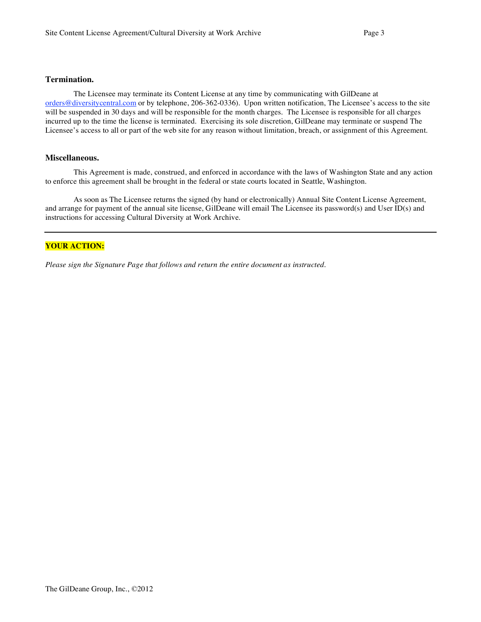## **Termination.**

The Licensee may terminate its Content License at any time by communicating with GilDeane at orders@diversitycentral.com or by telephone, 206-362-0336). Upon written notification, The Licensee's access to the site will be suspended in 30 days and will be responsible for the month charges. The Licensee is responsible for all charges incurred up to the time the license is terminated. Exercising its sole discretion, GilDeane may terminate or suspend The Licensee's access to all or part of the web site for any reason without limitation, breach, or assignment of this Agreement.

### **Miscellaneous.**

This Agreement is made, construed, and enforced in accordance with the laws of Washington State and any action to enforce this agreement shall be brought in the federal or state courts located in Seattle, Washington.

As soon as The Licensee returns the signed (by hand or electronically) Annual Site Content License Agreement, and arrange for payment of the annual site license, GilDeane will email The Licensee its password(s) and User ID(s) and instructions for accessing Cultural Diversity at Work Archive.

# **YOUR ACTION:**

*Please sign the Signature Page that follows and return the entire document as instructed.*